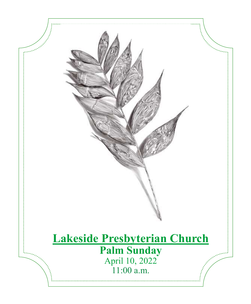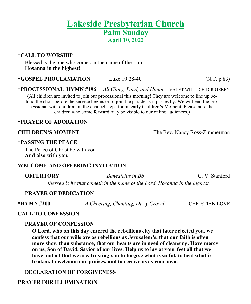# **Lakeside Presbyterian Church Palm Sunday April 10, 2022**

#### **\*CALL TO WORSHIP**

Blessed is the one who comes in the name of the Lord. **Hosanna in the highest!**

**\*GOSPEL PROCLAMATION** Luke 19:28-40 (N.T. p.83)

**\*PROCESSIONAL HYMN #196** *All Glory, Laud, and Honor* VALET WILL ICH DIR GEBEN

(All children are invited to join our processional this morning! They are welcome to line up behind the choir before the service begins or to join the parade as it passes by. We will end the processional with children on the chancel steps for an early Children's Moment. Please note that children who come forward may be visible to our online audiences.)

#### **\*PRAYER OF ADORATION**

**CHILDREN'S MOMENT** The Rev. Nancy Ross-Zimmerman

#### **\*PASSING THE PEACE**

The Peace of Christ be with you. **And also with you.**

#### **WELCOME AND OFFERING INVITATION**

**OFFERTORY** *Benedictus in Bb* C. V. Stanford

*Blessed is he that cometh in the name of the Lord. Hosanna in the highest.*

#### **PRAYER OF DEDICATION**

**\*HYMN #200** *A Cheering, Chanting, Dizzy Crowd* CHRISTIAN LOVE

#### **CALL TO CONFESSION**

#### **PRAYER OF CONFESSION**

**O Lord, who on this day entered the rebellious city that later rejected you, we confess that our wills are as rebellious as Jerusalem's, that our faith is often more show than substance, that our hearts are in need of cleansing. Have mercy on us, Son of David, Savior of our lives. Help us to lay at your feet all that we have and all that we are, trusting you to forgive what is sinful, to heal what is broken, to welcome our praises, and to receive us as your own.**

#### **DECLARATION OF FORGIVENESS**

### **PRAYER FOR ILLUMINATION**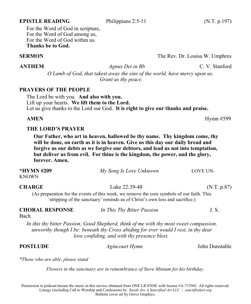#### **PRAYERS OF THE PEOPLE** The Lord be with you. **And also with you.**

Lift up your hearts. **We lift them to the Lord.** Let us give thanks to the Lord our God. **It is right to give our thanks and praise.**

*Grant us thy peace.*

#### **THE LORD'S PRAYER**

**Our Father, who art in heaven, hallowed be thy name. Thy kingdom come, thy will be done, on earth as it is in heaven. Give us this day our daily bread and forgive us our debts as we forgive our debtors, and lead us not into temptation, but deliver us from evil. For thine is the kingdom, the power, and the glory, forever. Amen.**

| *HYMN #209<br>KNOWN               | My Song Is Love Unknown                                                                                                                                                                                                      | <b>LOVE UN-</b> |
|-----------------------------------|------------------------------------------------------------------------------------------------------------------------------------------------------------------------------------------------------------------------------|-----------------|
| <b>CHARGE</b>                     | Luke 22:39-48                                                                                                                                                                                                                | (N.T. p.87)     |
|                                   | (As preparation for the events of this week, we remove the core symbols of our faith. This<br>'stripping of the sanctuary' reminds us of Christ's own loss and sacrifice.)                                                   |                 |
| <b>CHORAL RESPONSE</b><br>Bach    | In This Thy Bitter Passion                                                                                                                                                                                                   | J.S.            |
|                                   | In this thy bitter Passion, Good Shepherd, think of me with thy most sweet compassion,<br>unworthy though I be: beneath thy Cross abiding for ever would I rest, in thy dear<br>love confiding, and with thy presence blest. |                 |
| POSTLUDE                          | <i>Agincourt Hymn</i>                                                                                                                                                                                                        | John Dunstable  |
| *Those who are able, please stand |                                                                                                                                                                                                                              |                 |

*Flowers in the sanctuary are in remembrance of Steve Minium for his birthday.*

Permission to podcast/stream the music in this service obtained from ONE LICENSE with license #A-715941. All rights reserved. Liturgy (including Call to Worship and Confession) by *Sarah Are A Sanctified Art LLC | sanctifiedart.org* Bulletin cover art by Grove Graphics.

#### **EPISTLE READING** Philippians 2:5-11 (N.T. p.197)

For the Word of God in scripture, For the Word of God among us, For the Word of God within us. **Thanks be to God.**

### **SERMON** The Rev. Dr. Louisa W. Umphres

**ANTHEM** *Agnus Dei in Bb* C. V. Stanford *O Lamb of God, that takest away the sins of the world, have mercy upon us.* 

**AMEN** Hymn #599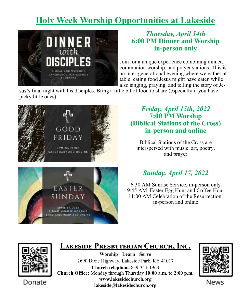# **Holy Week Worship Opportunities at Lakeside**



## *Thursday, April 14th* **6:00 PM Dinner and Worship in-person only**

Join for a unique experience combining dinner, communion worship, and prayer stations. This is an inter-generational evening where we gather at table, eating food Jesus might have eaten while also singing, praying, and telling the story of Je-

sus's final night with his disciples. Bring a little bit of food to share (especially if you have picky little ones).



EASTER SUNDAY

APRIL 17, 2022 **GIBOAN SUNRISE WORSHIP SANCTUARY AND ONLINE** 

## *Friday, April 15th, 2022* **7:00 PM Worship (Biblical Stations of the Cross) in-person and online**

Biblical Stations of the Cross are interspersed with music, art, poetry, and prayer



6:30 AM Sunrise Service, in-person only 9:45 AM Easter Egg Hunt and Coffee Hour 11:00 AM Celebration of the Resurrection, in-person and online



# **Lakeside Presbyterian Church, Inc.**

**Worship · Learn · Serve** 2690 Dixie Highway, Lakeside Park, KY 41017 **Church telephone** 859-341-1963 **Church Office:** Monday through Thursday **10:00 a.m. to 2:00 p.m. www.lakesidechurch.org lakeside@lakesidechurch.org**



News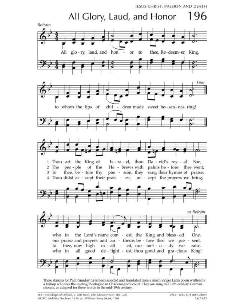

These stanzas for Palm Sunday have been selected and translated from a much longer Latin poem written by a bishop who was the leading theologian in Charlemagne's court. They are sung to a 17th-century German chorale, as adapted for these words in the mid-19th century.

TEXT: Theodulph of Orleans, c. 820; trans. John Mason Neale, 1851, alt. MUSIC: Melchior Teschner, 1614; arr. William Henry Monk, 1861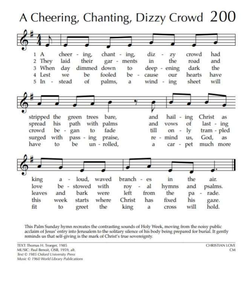

This Palm Sunday hymn recreates the contrasting sounds of Holy Week, moving from the noisy public acclaim of Jesus' entry into Jerusalem to the solitary silence of his body being prepared for burial. It gently reminds us that self-giving is the mark of Christ's true sovereignty.